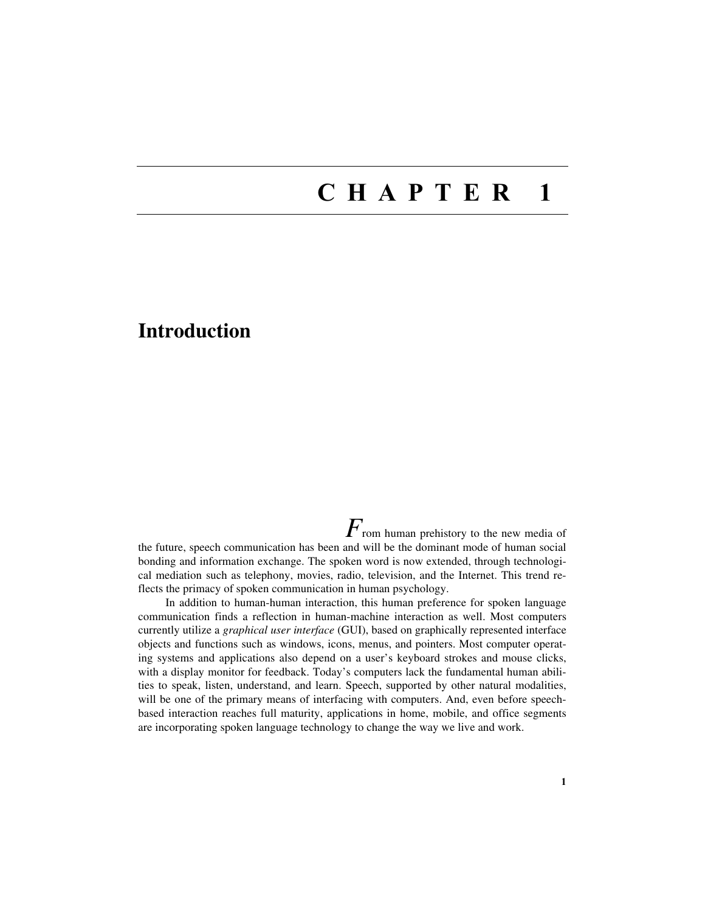# **CHAPTER 1**

# **Introduction**

*F* rom human prehistory to the new media of the future, speech communication has been and will be the dominant mode of human social bonding and information exchange. The spoken word is now extended, through technological mediation such as telephony, movies, radio, television, and the Internet. This trend reflects the primacy of spoken communication in human psychology.

In addition to human-human interaction, this human preference for spoken language communication finds a reflection in human-machine interaction as well. Most computers currently utilize a *graphical user interface* (GUI), based on graphically represented interface objects and functions such as windows, icons, menus, and pointers. Most computer operating systems and applications also depend on a user's keyboard strokes and mouse clicks, with a display monitor for feedback. Today's computers lack the fundamental human abilities to speak, listen, understand, and learn. Speech, supported by other natural modalities, will be one of the primary means of interfacing with computers. And, even before speechbased interaction reaches full maturity, applications in home, mobile, and office segments are incorporating spoken language technology to change the way we live and work.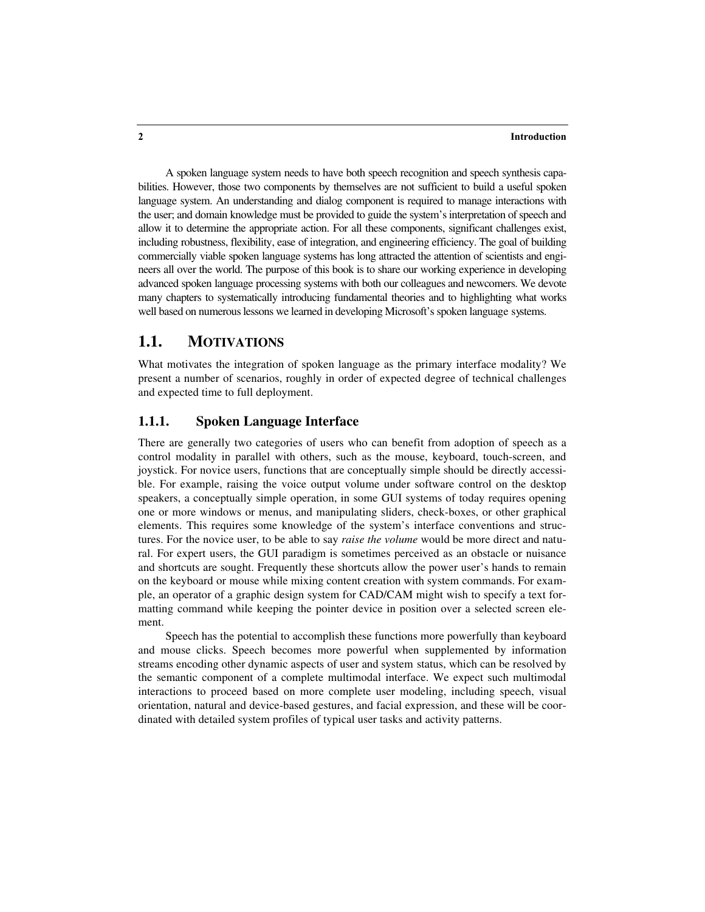A spoken language system needs to have both speech recognition and speech synthesis capabilities. However, those two components by themselves are not sufficient to build a useful spoken language system. An understanding and dialog component is required to manage interactions with the user; and domain knowledge must be provided to guide the system's interpretation of speech and allow it to determine the appropriate action. For all these components, significant challenges exist, including robustness, flexibility, ease of integration, and engineering efficiency. The goal of building commercially viable spoken language systems has long attracted the attention of scientists and engineers all over the world. The purpose of this book is to share our working experience in developing advanced spoken language processing systems with both our colleagues and newcomers. We devote many chapters to systematically introducing fundamental theories and to highlighting what works well based on numerous lessons we learned in developing Microsoft's spoken language systems.

# **1.1. MOTIVATIONS**

What motivates the integration of spoken language as the primary interface modality? We present a number of scenarios, roughly in order of expected degree of technical challenges and expected time to full deployment.

#### **1.1.1. Spoken Language Interface**

There are generally two categories of users who can benefit from adoption of speech as a control modality in parallel with others, such as the mouse, keyboard, touch-screen, and joystick. For novice users, functions that are conceptually simple should be directly accessible. For example, raising the voice output volume under software control on the desktop speakers, a conceptually simple operation, in some GUI systems of today requires opening one or more windows or menus, and manipulating sliders, check-boxes, or other graphical elements. This requires some knowledge of the system's interface conventions and structures. For the novice user, to be able to say *raise the volume* would be more direct and natural. For expert users, the GUI paradigm is sometimes perceived as an obstacle or nuisance and shortcuts are sought. Frequently these shortcuts allow the power user's hands to remain on the keyboard or mouse while mixing content creation with system commands. For example, an operator of a graphic design system for CAD/CAM might wish to specify a text formatting command while keeping the pointer device in position over a selected screen element.

Speech has the potential to accomplish these functions more powerfully than keyboard and mouse clicks. Speech becomes more powerful when supplemented by information streams encoding other dynamic aspects of user and system status, which can be resolved by the semantic component of a complete multimodal interface. We expect such multimodal interactions to proceed based on more complete user modeling, including speech, visual orientation, natural and device-based gestures, and facial expression, and these will be coordinated with detailed system profiles of typical user tasks and activity patterns.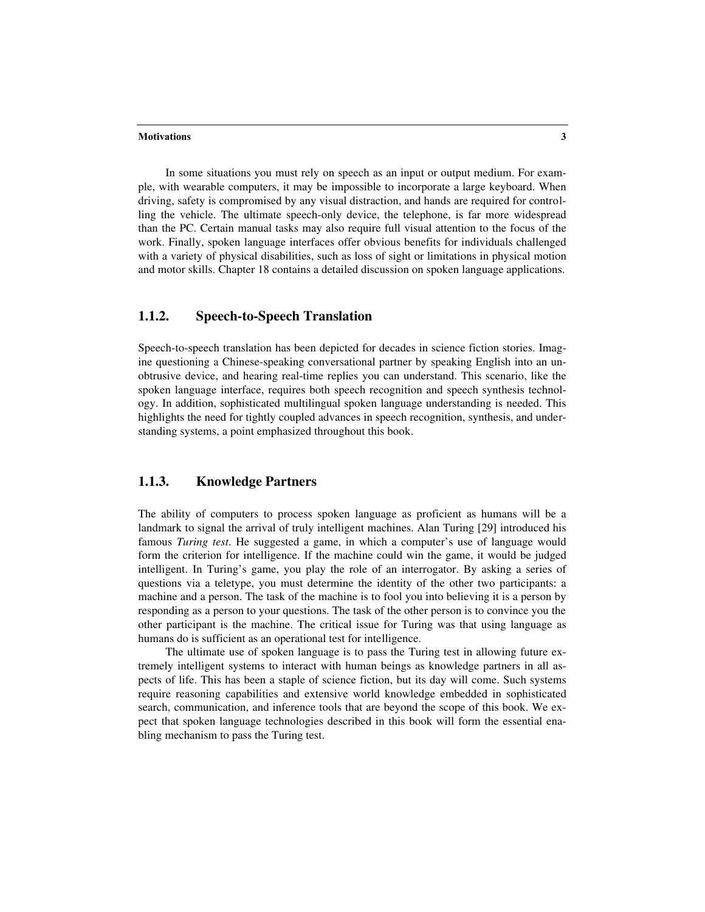#### **Motivations 3**

In some situations you must rely on speech as an input or output medium. For example, with wearable computers, it may be impossible to incorporate a large keyboard. When driving, safety is compromised by any visual distraction, and hands are required for controlling the vehicle. The ultimate speech-only device, the telephone, is far more widespread than the PC. Certain manual tasks may also require full visual attention to the focus of the work. Finally, spoken language interfaces offer obvious benefits for individuals challenged with a variety of physical disabilities, such as loss of sight or limitations in physical motion and motor skills. Chapter 18 contains a detailed discussion on spoken language applications.

## **1.1.2. Speech-to-Speech Translation**

Speech-to-speech translation has been depicted for decades in science fiction stories. Imagine questioning a Chinese-speaking conversational partner by speaking English into an unobtrusive device, and hearing real-time replies you can understand. This scenario, like the spoken language interface, requires both speech recognition and speech synthesis technology. In addition, sophisticated multilingual spoken language understanding is needed. This highlights the need for tightly coupled advances in speech recognition, synthesis, and understanding systems, a point emphasized throughout this book.

## **1.1.3. Knowledge Partners**

The ability of computers to process spoken language as proficient as humans will be a landmark to signal the arrival of truly intelligent machines. Alan Turing [29] introduced his famous *Turing test*. He suggested a game, in which a computer's use of language would form the criterion for intelligence. If the machine could win the game, it would be judged intelligent. In Turing's game, you play the role of an interrogator. By asking a series of questions via a teletype, you must determine the identity of the other two participants: a machine and a person. The task of the machine is to fool you into believing it is a person by responding as a person to your questions. The task of the other person is to convince you the other participant is the machine. The critical issue for Turing was that using language as humans do is sufficient as an operational test for intelligence.

The ultimate use of spoken language is to pass the Turing test in allowing future extremely intelligent systems to interact with human beings as knowledge partners in all aspects of life. This has been a staple of science fiction, but its day will come. Such systems require reasoning capabilities and extensive world knowledge embedded in sophisticated search, communication, and inference tools that are beyond the scope of this book. We expect that spoken language technologies described in this book will form the essential enabling mechanism to pass the Turing test.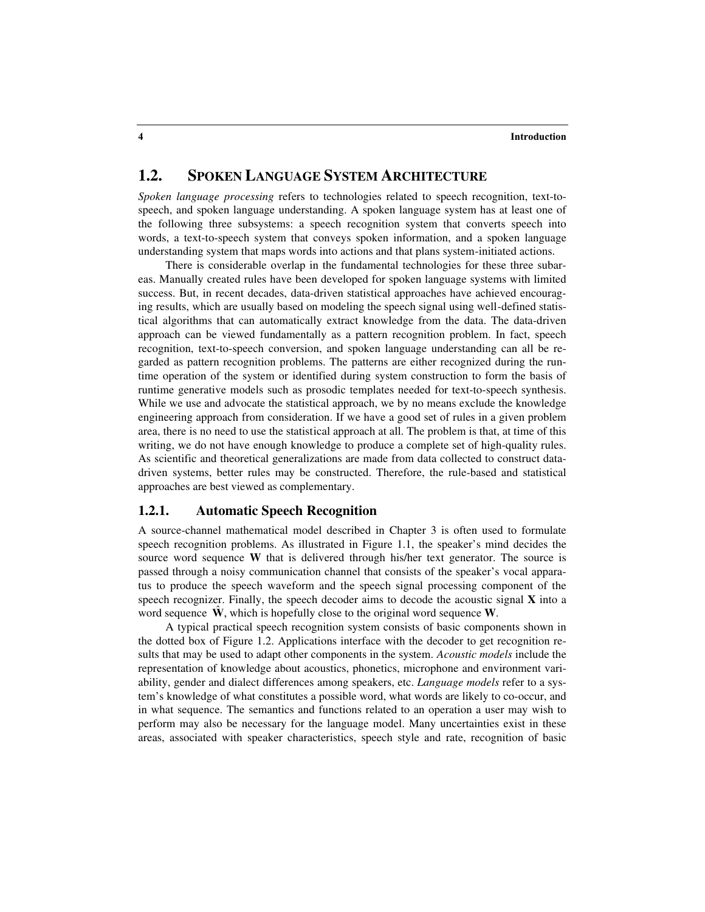## **1.2. SPOKEN LANGUAGE SYSTEM ARCHITECTURE**

*Spoken language processing* refers to technologies related to speech recognition, text-tospeech, and spoken language understanding. A spoken language system has at least one of the following three subsystems: a speech recognition system that converts speech into words, a text-to-speech system that conveys spoken information, and a spoken language understanding system that maps words into actions and that plans system-initiated actions.

There is considerable overlap in the fundamental technologies for these three subareas. Manually created rules have been developed for spoken language systems with limited success. But, in recent decades, data-driven statistical approaches have achieved encouraging results, which are usually based on modeling the speech signal using well-defined statistical algorithms that can automatically extract knowledge from the data. The data-driven approach can be viewed fundamentally as a pattern recognition problem. In fact, speech recognition, text-to-speech conversion, and spoken language understanding can all be regarded as pattern recognition problems. The patterns are either recognized during the runtime operation of the system or identified during system construction to form the basis of runtime generative models such as prosodic templates needed for text-to-speech synthesis. While we use and advocate the statistical approach, we by no means exclude the knowledge engineering approach from consideration. If we have a good set of rules in a given problem area, there is no need to use the statistical approach at all. The problem is that, at time of this writing, we do not have enough knowledge to produce a complete set of high-quality rules. As scientific and theoretical generalizations are made from data collected to construct datadriven systems, better rules may be constructed. Therefore, the rule-based and statistical approaches are best viewed as complementary.

#### **1.2.1. Automatic Speech Recognition**

A source-channel mathematical model described in Chapter 3 is often used to formulate speech recognition problems. As illustrated in Figure 1.1, the speaker's mind decides the source word sequence **W** that is delivered through his/her text generator. The source is passed through a noisy communication channel that consists of the speaker's vocal apparatus to produce the speech waveform and the speech signal processing component of the speech recognizer. Finally, the speech decoder aims to decode the acoustic signal **X** into a word sequence  $\hat{W}$ , which is hopefully close to the original word sequence  $\hat{W}$ .

A typical practical speech recognition system consists of basic components shown in the dotted box of Figure 1.2. Applications interface with the decoder to get recognition results that may be used to adapt other components in the system. *Acoustic models* include the representation of knowledge about acoustics, phonetics, microphone and environment variability, gender and dialect differences among speakers, etc. *Language models* refer to a system's knowledge of what constitutes a possible word, what words are likely to co-occur, and in what sequence. The semantics and functions related to an operation a user may wish to perform may also be necessary for the language model. Many uncertainties exist in these areas, associated with speaker characteristics, speech style and rate, recognition of basic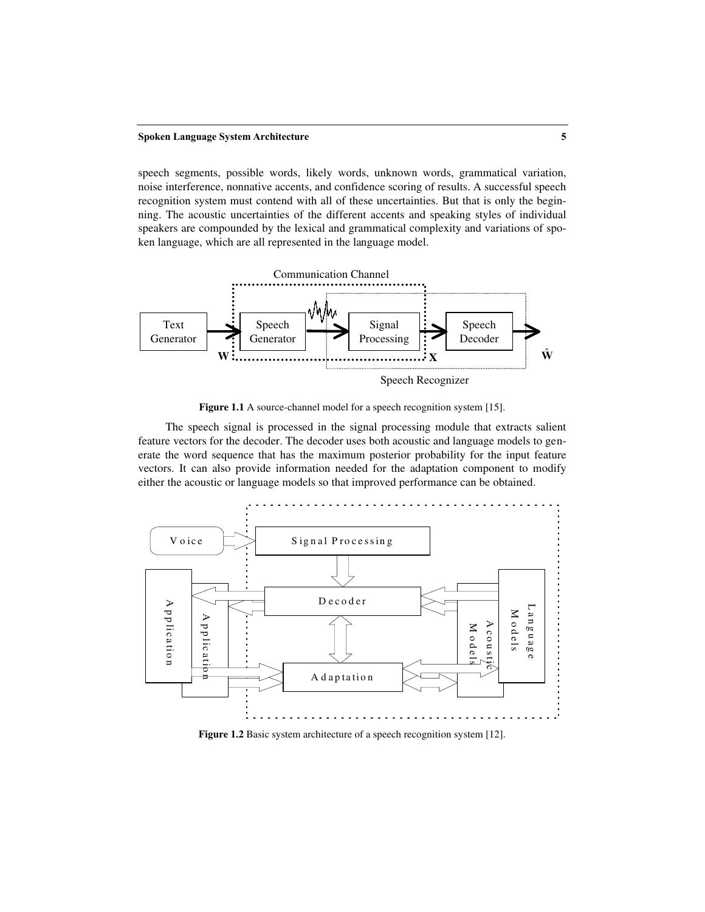speech segments, possible words, likely words, unknown words, grammatical variation, noise interference, nonnative accents, and confidence scoring of results. A successful speech recognition system must contend with all of these uncertainties. But that is only the beginning. The acoustic uncertainties of the different accents and speaking styles of individual speakers are compounded by the lexical and grammatical complexity and variations of spoken language, which are all represented in the language model.



Figure 1.1 A source-channel model for a speech recognition system [15].

The speech signal is processed in the signal processing module that extracts salient feature vectors for the decoder. The decoder uses both acoustic and language models to generate the word sequence that has the maximum posterior probability for the input feature vectors. It can also provide information needed for the adaptation component to modify either the acoustic or language models so that improved performance can be obtained.



**Figure 1.2** Basic system architecture of a speech recognition system [12].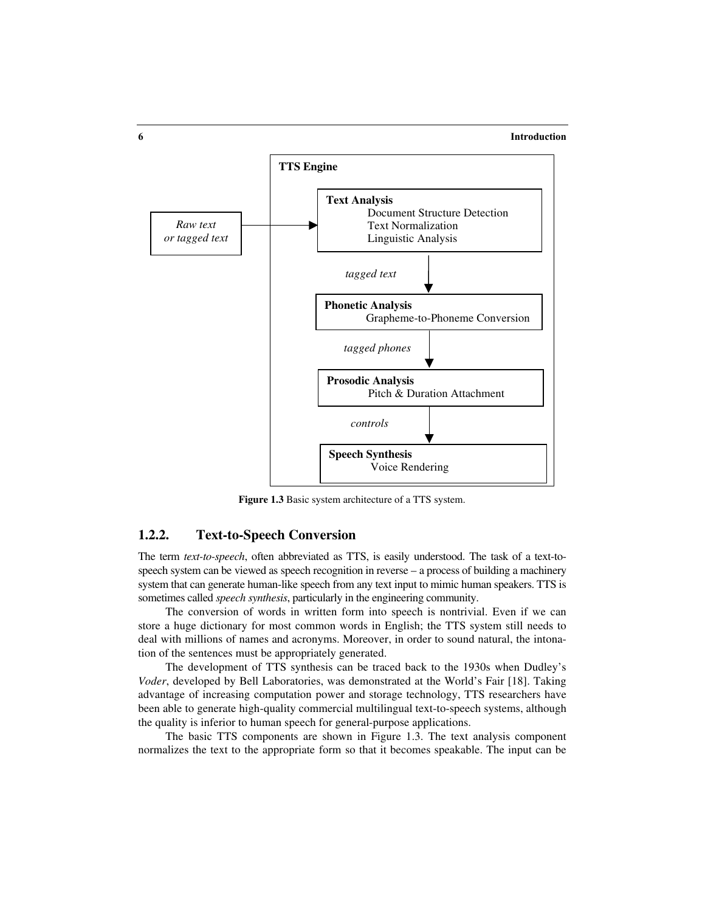

**Figure 1.3** Basic system architecture of a TTS system.

## **1.2.2. Text-to-Speech Conversion**

The term *text-to-speech*, often abbreviated as TTS, is easily understood. The task of a text-tospeech system can be viewed as speech recognition in reverse – a process of building a machinery system that can generate human-like speech from any text input to mimic human speakers. TTS is sometimes called *speech synthesis*, particularly in the engineering community.

The conversion of words in written form into speech is nontrivial. Even if we can store a huge dictionary for most common words in English; the TTS system still needs to deal with millions of names and acronyms. Moreover, in order to sound natural, the intonation of the sentences must be appropriately generated.

The development of TTS synthesis can be traced back to the 1930s when Dudley's *Voder*, developed by Bell Laboratories, was demonstrated at the World's Fair [18]. Taking advantage of increasing computation power and storage technology, TTS researchers have been able to generate high-quality commercial multilingual text-to-speech systems, although the quality is inferior to human speech for general-purpose applications.

The basic TTS components are shown in Figure 1.3. The text analysis component normalizes the text to the appropriate form so that it becomes speakable. The input can be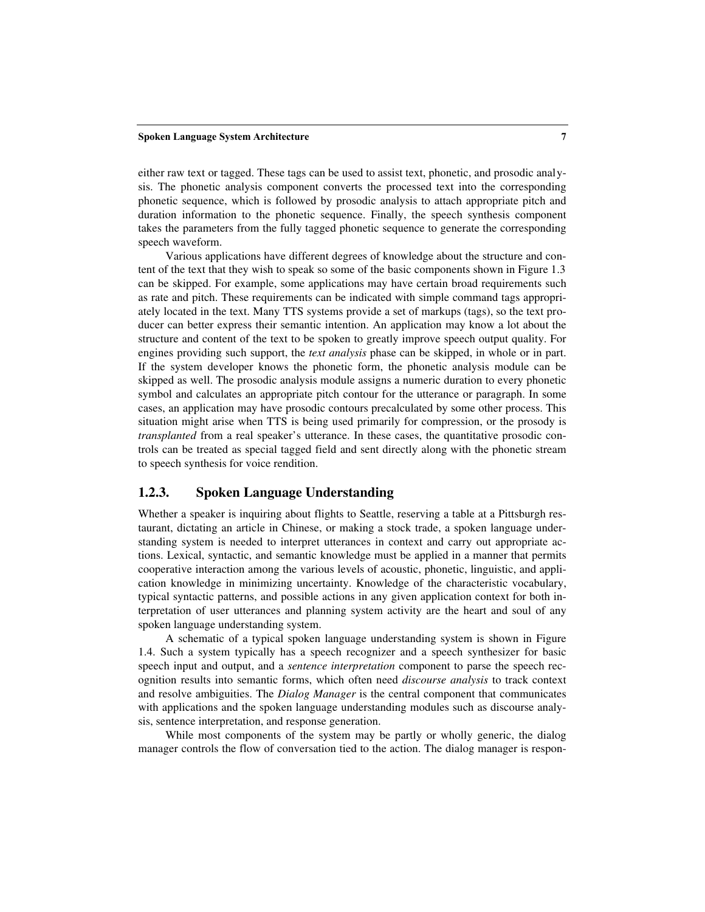either raw text or tagged. These tags can be used to assist text, phonetic, and prosodic analysis. The phonetic analysis component converts the processed text into the corresponding phonetic sequence, which is followed by prosodic analysis to attach appropriate pitch and duration information to the phonetic sequence. Finally, the speech synthesis component takes the parameters from the fully tagged phonetic sequence to generate the corresponding speech waveform.

Various applications have different degrees of knowledge about the structure and content of the text that they wish to speak so some of the basic components shown in Figure 1.3 can be skipped. For example, some applications may have certain broad requirements such as rate and pitch. These requirements can be indicated with simple command tags appropriately located in the text. Many TTS systems provide a set of markups (tags), so the text producer can better express their semantic intention. An application may know a lot about the structure and content of the text to be spoken to greatly improve speech output quality. For engines providing such support, the *text analysis* phase can be skipped, in whole or in part. If the system developer knows the phonetic form, the phonetic analysis module can be skipped as well. The prosodic analysis module assigns a numeric duration to every phonetic symbol and calculates an appropriate pitch contour for the utterance or paragraph. In some cases, an application may have prosodic contours precalculated by some other process. This situation might arise when TTS is being used primarily for compression, or the prosody is *transplanted* from a real speaker's utterance. In these cases, the quantitative prosodic controls can be treated as special tagged field and sent directly along with the phonetic stream to speech synthesis for voice rendition.

#### **1.2.3. Spoken Language Understanding**

Whether a speaker is inquiring about flights to Seattle, reserving a table at a Pittsburgh restaurant, dictating an article in Chinese, or making a stock trade, a spoken language understanding system is needed to interpret utterances in context and carry out appropriate actions. Lexical, syntactic, and semantic knowledge must be applied in a manner that permits cooperative interaction among the various levels of acoustic, phonetic, linguistic, and application knowledge in minimizing uncertainty. Knowledge of the characteristic vocabulary, typical syntactic patterns, and possible actions in any given application context for both interpretation of user utterances and planning system activity are the heart and soul of any spoken language understanding system.

A schematic of a typical spoken language understanding system is shown in Figure 1.4. Such a system typically has a speech recognizer and a speech synthesizer for basic speech input and output, and a *sentence interpretation* component to parse the speech recognition results into semantic forms, which often need *discourse analysis* to track context and resolve ambiguities. The *Dialog Manager* is the central component that communicates with applications and the spoken language understanding modules such as discourse analysis, sentence interpretation, and response generation.

While most components of the system may be partly or wholly generic, the dialog manager controls the flow of conversation tied to the action. The dialog manager is respon-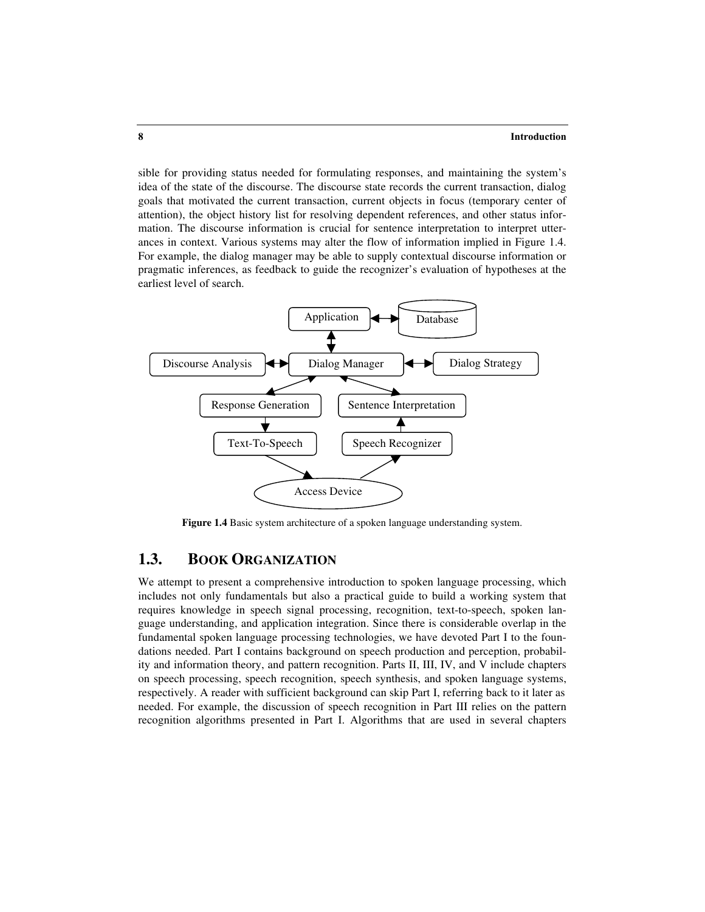sible for providing status needed for formulating responses, and maintaining the system's idea of the state of the discourse. The discourse state records the current transaction, dialog goals that motivated the current transaction, current objects in focus (temporary center of attention), the object history list for resolving dependent references, and other status information. The discourse information is crucial for sentence interpretation to interpret utterances in context. Various systems may alter the flow of information implied in Figure 1.4. For example, the dialog manager may be able to supply contextual discourse information or pragmatic inferences, as feedback to guide the recognizer's evaluation of hypotheses at the earliest level of search.



**Figure 1.4** Basic system architecture of a spoken language understanding system.

# **1.3. BOOK ORGANIZATION**

We attempt to present a comprehensive introduction to spoken language processing, which includes not only fundamentals but also a practical guide to build a working system that requires knowledge in speech signal processing, recognition, text-to-speech, spoken language understanding, and application integration. Since there is considerable overlap in the fundamental spoken language processing technologies, we have devoted Part I to the foundations needed. Part I contains background on speech production and perception, probability and information theory, and pattern recognition. Parts II, III, IV, and V include chapters on speech processing, speech recognition, speech synthesis, and spoken language systems, respectively. A reader with sufficient background can skip Part I, referring back to it later as needed. For example, the discussion of speech recognition in Part III relies on the pattern recognition algorithms presented in Part I. Algorithms that are used in several chapters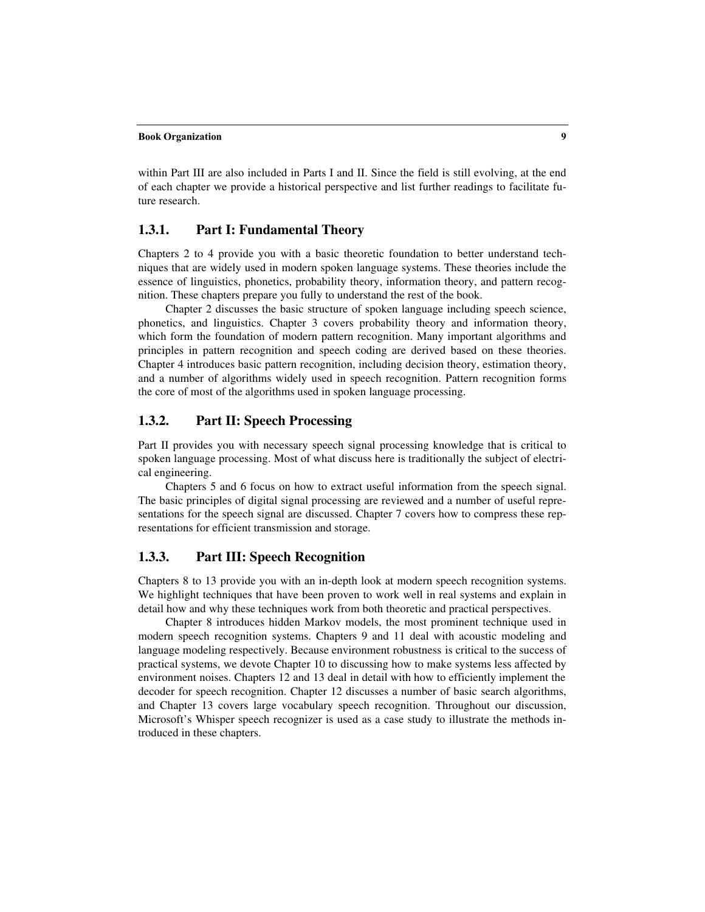within Part III are also included in Parts I and II. Since the field is still evolving, at the end of each chapter we provide a historical perspective and list further readings to facilitate future research.

#### **1.3.1. Part I: Fundamental Theory**

Chapters 2 to 4 provide you with a basic theoretic foundation to better understand techniques that are widely used in modern spoken language systems. These theories include the essence of linguistics, phonetics, probability theory, information theory, and pattern recognition. These chapters prepare you fully to understand the rest of the book.

Chapter 2 discusses the basic structure of spoken language including speech science, phonetics, and linguistics. Chapter 3 covers probability theory and information theory, which form the foundation of modern pattern recognition. Many important algorithms and principles in pattern recognition and speech coding are derived based on these theories. Chapter 4 introduces basic pattern recognition, including decision theory, estimation theory, and a number of algorithms widely used in speech recognition. Pattern recognition forms the core of most of the algorithms used in spoken language processing.

## **1.3.2. Part II: Speech Processing**

Part II provides you with necessary speech signal processing knowledge that is critical to spoken language processing. Most of what discuss here is traditionally the subject of electrical engineering.

Chapters 5 and 6 focus on how to extract useful information from the speech signal. The basic principles of digital signal processing are reviewed and a number of useful representations for the speech signal are discussed. Chapter 7 covers how to compress these representations for efficient transmission and storage.

### **1.3.3. Part III: Speech Recognition**

Chapters 8 to 13 provide you with an in-depth look at modern speech recognition systems. We highlight techniques that have been proven to work well in real systems and explain in detail how and why these techniques work from both theoretic and practical perspectives.

Chapter 8 introduces hidden Markov models, the most prominent technique used in modern speech recognition systems. Chapters 9 and 11 deal with acoustic modeling and language modeling respectively. Because environment robustness is critical to the success of practical systems, we devote Chapter 10 to discussing how to make systems less affected by environment noises. Chapters 12 and 13 deal in detail with how to efficiently implement the decoder for speech recognition. Chapter 12 discusses a number of basic search algorithms, and Chapter 13 covers large vocabulary speech recognition. Throughout our discussion, Microsoft's Whisper speech recognizer is used as a case study to illustrate the methods introduced in these chapters.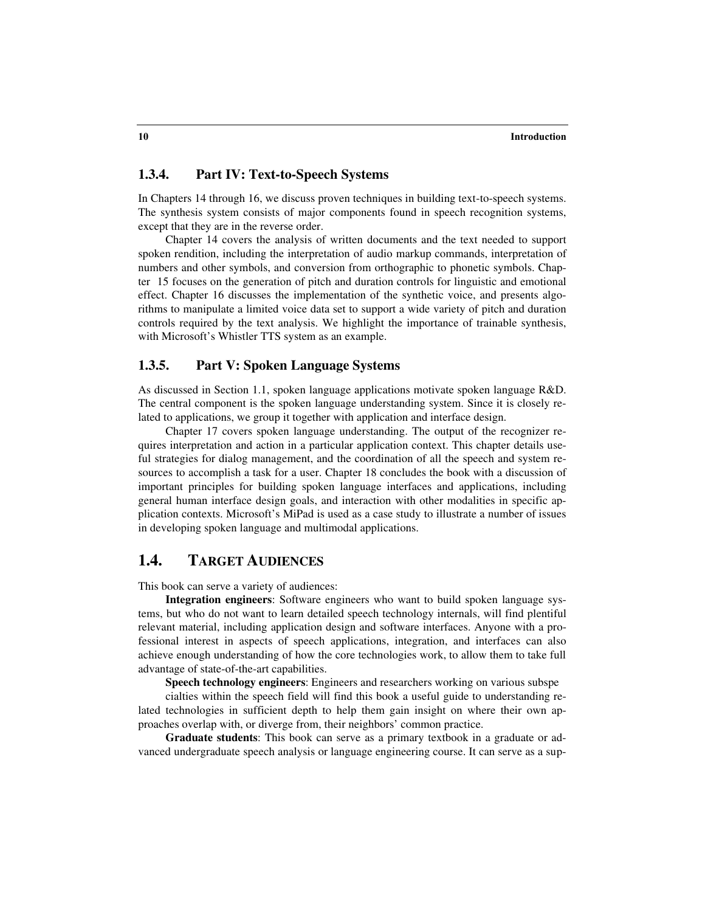#### **1.3.4. Part IV: Text-to-Speech Systems**

In Chapters 14 through 16, we discuss proven techniques in building text-to-speech systems. The synthesis system consists of major components found in speech recognition systems, except that they are in the reverse order.

Chapter 14 covers the analysis of written documents and the text needed to support spoken rendition, including the interpretation of audio markup commands, interpretation of numbers and other symbols, and conversion from orthographic to phonetic symbols. Chapter 15 focuses on the generation of pitch and duration controls for linguistic and emotional effect. Chapter 16 discusses the implementation of the synthetic voice, and presents algorithms to manipulate a limited voice data set to support a wide variety of pitch and duration controls required by the text analysis. We highlight the importance of trainable synthesis, with Microsoft's Whistler TTS system as an example.

#### **1.3.5. Part V: Spoken Language Systems**

As discussed in Section 1.1, spoken language applications motivate spoken language R&D. The central component is the spoken language understanding system. Since it is closely related to applications, we group it together with application and interface design.

Chapter 17 covers spoken language understanding. The output of the recognizer requires interpretation and action in a particular application context. This chapter details useful strategies for dialog management, and the coordination of all the speech and system resources to accomplish a task for a user. Chapter 18 concludes the book with a discussion of important principles for building spoken language interfaces and applications, including general human interface design goals, and interaction with other modalities in specific application contexts. Microsoft's MiPad is used as a case study to illustrate a number of issues in developing spoken language and multimodal applications.

#### **1.4. TARGET AUDIENCES**

This book can serve a variety of audiences:

**Integration engineers**: Software engineers who want to build spoken language systems, but who do not want to learn detailed speech technology internals, will find plentiful relevant material, including application design and software interfaces. Anyone with a professional interest in aspects of speech applications, integration, and interfaces can also achieve enough understanding of how the core technologies work, to allow them to take full advantage of state-of-the-art capabilities.

**Speech technology engineers**: Engineers and researchers working on various subspe

cialties within the speech field will find this book a useful guide to understanding related technologies in sufficient depth to help them gain insight on where their own approaches overlap with, or diverge from, their neighbors' common practice.

**Graduate students**: This book can serve as a primary textbook in a graduate or advanced undergraduate speech analysis or language engineering course. It can serve as a sup-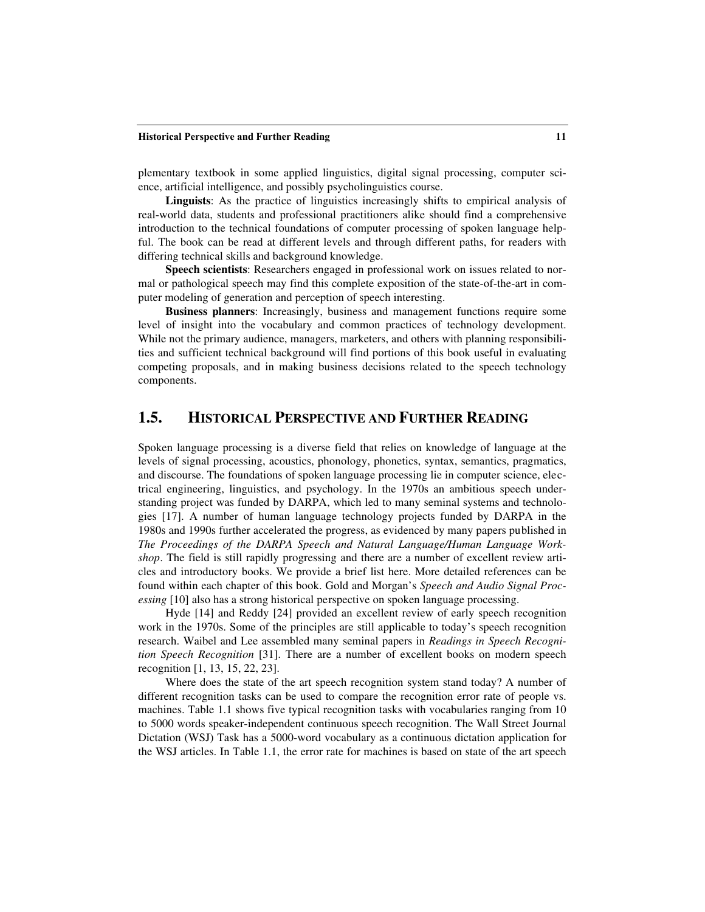#### **Historical Perspective and Further Reading 11**

plementary textbook in some applied linguistics, digital signal processing, computer science, artificial intelligence, and possibly psycholinguistics course.

**Linguists**: As the practice of linguistics increasingly shifts to empirical analysis of real-world data, students and professional practitioners alike should find a comprehensive introduction to the technical foundations of computer processing of spoken language helpful. The book can be read at different levels and through different paths, for readers with differing technical skills and background knowledge.

**Speech scientists**: Researchers engaged in professional work on issues related to normal or pathological speech may find this complete exposition of the state-of-the-art in computer modeling of generation and perception of speech interesting.

**Business planners**: Increasingly, business and management functions require some level of insight into the vocabulary and common practices of technology development. While not the primary audience, managers, marketers, and others with planning responsibilities and sufficient technical background will find portions of this book useful in evaluating competing proposals, and in making business decisions related to the speech technology components.

# **1.5. HISTORICAL PERSPECTIVE AND FURTHER READING**

Spoken language processing is a diverse field that relies on knowledge of language at the levels of signal processing, acoustics, phonology, phonetics, syntax, semantics, pragmatics, and discourse. The foundations of spoken language processing lie in computer science, electrical engineering, linguistics, and psychology. In the 1970s an ambitious speech understanding project was funded by DARPA, which led to many seminal systems and technologies [17]. A number of human language technology projects funded by DARPA in the 1980s and 1990s further accelerated the progress, as evidenced by many papers published in *The Proceedings of the DARPA Speech and Natural Language/Human Language Workshop*. The field is still rapidly progressing and there are a number of excellent review articles and introductory books. We provide a brief list here. More detailed references can be found within each chapter of this book. Gold and Morgan's *Speech and Audio Signal Processing* [10] also has a strong historical perspective on spoken language processing.

Hyde [14] and Reddy [24] provided an excellent review of early speech recognition work in the 1970s. Some of the principles are still applicable to today's speech recognition research. Waibel and Lee assembled many seminal papers in *Readings in Speech Recognition Speech Recognition* [31]. There are a number of excellent books on modern speech recognition [1, 13, 15, 22, 23].

Where does the state of the art speech recognition system stand today? A number of different recognition tasks can be used to compare the recognition error rate of people vs. machines. Table 1.1 shows five typical recognition tasks with vocabularies ranging from 10 to 5000 words speaker-independent continuous speech recognition. The Wall Street Journal Dictation (WSJ) Task has a 5000-word vocabulary as a continuous dictation application for the WSJ articles. In Table 1.1, the error rate for machines is based on state of the art speech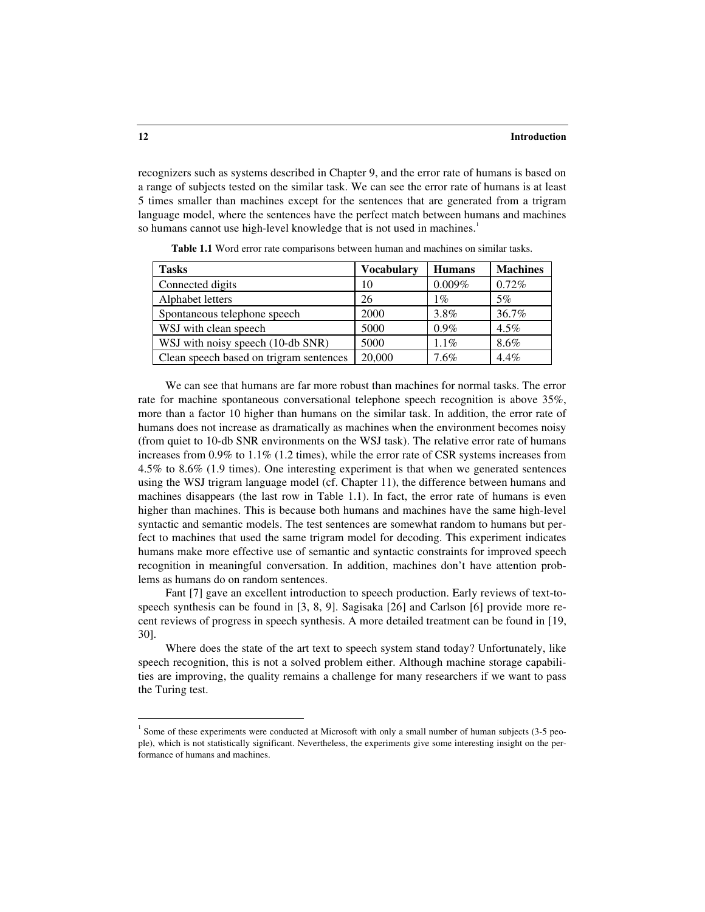recognizers such as systems described in Chapter 9, and the error rate of humans is based on a range of subjects tested on the similar task. We can see the error rate of humans is at least 5 times smaller than machines except for the sentences that are generated from a trigram language model, where the sentences have the perfect match between humans and machines so humans cannot use high-level knowledge that is not used in machines.<sup>1</sup>

| <b>Tasks</b>                            | <b>Vocabulary</b> | <b>Humans</b> | <b>Machines</b> |
|-----------------------------------------|-------------------|---------------|-----------------|
| Connected digits                        | 10                | 0.009%        | 0.72%           |
| Alphabet letters                        | 26                | $1\%$         | 5%              |
| Spontaneous telephone speech            | 2000              | 3.8%          | 36.7%           |
| WSJ with clean speech                   | 5000              | $0.9\%$       | $4.5\%$         |
| WSJ with noisy speech (10-db SNR)       | 5000              | $1.1\%$       | 8.6%            |
| Clean speech based on trigram sentences | 20,000            | 7.6%          | 4.4%            |

**Table 1.1** Word error rate comparisons between human and machines on similar tasks.

We can see that humans are far more robust than machines for normal tasks. The error rate for machine spontaneous conversational telephone speech recognition is above 35%, more than a factor 10 higher than humans on the similar task. In addition, the error rate of humans does not increase as dramatically as machines when the environment becomes noisy (from quiet to 10-db SNR environments on the WSJ task). The relative error rate of humans increases from 0.9% to 1.1% (1.2 times), while the error rate of CSR systems increases from 4.5% to 8.6% (1.9 times). One interesting experiment is that when we generated sentences using the WSJ trigram language model (cf. Chapter 11), the difference between humans and machines disappears (the last row in Table 1.1). In fact, the error rate of humans is even higher than machines. This is because both humans and machines have the same high-level syntactic and semantic models. The test sentences are somewhat random to humans but perfect to machines that used the same trigram model for decoding. This experiment indicates humans make more effective use of semantic and syntactic constraints for improved speech recognition in meaningful conversation. In addition, machines don't have attention problems as humans do on random sentences.

Fant [7] gave an excellent introduction to speech production. Early reviews of text-tospeech synthesis can be found in [3, 8, 9]. Sagisaka [26] and Carlson [6] provide more recent reviews of progress in speech synthesis. A more detailed treatment can be found in [19, 30].

Where does the state of the art text to speech system stand today? Unfortunately, like speech recognition, this is not a solved problem either. Although machine storage capabilities are improving, the quality remains a challenge for many researchers if we want to pass the Turing test.

 $\overline{a}$ 

<sup>&</sup>lt;sup>1</sup> Some of these experiments were conducted at Microsoft with only a small number of human subjects (3-5 people), which is not statistically significant. Nevertheless, the experiments give some interesting insight on the performance of humans and machines.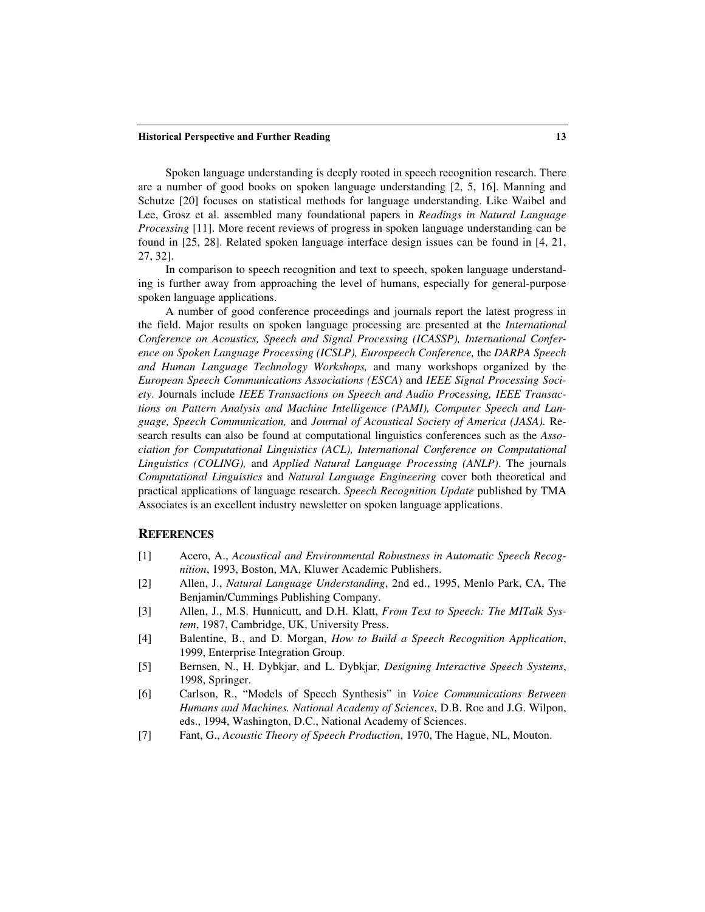#### **Historical Perspective and Further Reading 13**

Spoken language understanding is deeply rooted in speech recognition research. There are a number of good books on spoken language understanding [2, 5, 16]. Manning and Schutze [20] focuses on statistical methods for language understanding. Like Waibel and Lee, Grosz et al. assembled many foundational papers in *Readings in Natural Language Processing* [11]. More recent reviews of progress in spoken language understanding can be found in [25, 28]. Related spoken language interface design issues can be found in [4, 21, 27, 32].

In comparison to speech recognition and text to speech, spoken language understanding is further away from approaching the level of humans, especially for general-purpose spoken language applications.

A number of good conference proceedings and journals report the latest progress in the field. Major results on spoken language processing are presented at the *International Conference on Acoustics, Speech and Signal Processing (ICASSP), International Conference on Spoken Language Processing (ICSLP), Eurospeech Conference,* the *DARPA Speech and Human Language Technology Workshops,* and many workshops organized by the *European Speech Communications Associations (ESCA*) and *IEEE Signal Processing Society*. Journals include *IEEE Transactions on Speech and Audio Pro*c*essing, IEEE Transactions on Pattern Analysis and Machine Intelligence (PAMI), Computer Speech and Language, Speech Communication,* and *Journal of Acoustical Society of America (JASA).* Research results can also be found at computational linguistics conferences such as the *Association for Computational Linguistics (ACL), International Conference on Computational Linguistics (COLING),* and *Applied Natural Language Processing (ANLP)*. The journals *Computational Linguistics* and *Natural Language Engineering* cover both theoretical and practical applications of language research. *Speech Recognition Update* published by TMA Associates is an excellent industry newsletter on spoken language applications.

#### **REFERENCES**

- [1] Acero, A., *Acoustical and Environmental Robustness in Automatic Speech Recognition*, 1993, Boston, MA, Kluwer Academic Publishers.
- [2] Allen, J., *Natural Language Understanding*, 2nd ed., 1995, Menlo Park, CA, The Benjamin/Cummings Publishing Company.
- [3] Allen, J., M.S. Hunnicutt, and D.H. Klatt, *From Text to Speech: The MITalk System*, 1987, Cambridge, UK, University Press.
- [4] Balentine, B., and D. Morgan, *How to Build a Speech Recognition Application*, 1999, Enterprise Integration Group.
- [5] Bernsen, N., H. Dybkjar, and L. Dybkjar, *Designing Interactive Speech Systems*, 1998, Springer.
- [6] Carlson, R., "Models of Speech Synthesis" in *Voice Communications Between Humans and Machines. National Academy of Sciences*, D.B. Roe and J.G. Wilpon, eds., 1994, Washington, D.C., National Academy of Sciences.
- [7] Fant, G., *Acoustic Theory of Speech Production*, 1970, The Hague, NL, Mouton.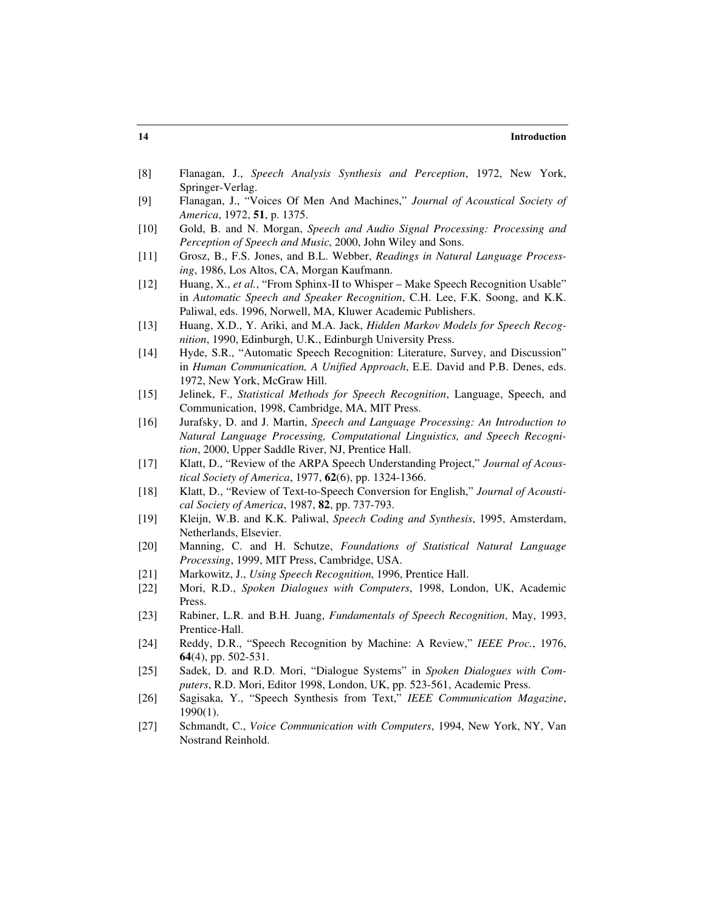- [8] Flanagan, J., *Speech Analysis Synthesis and Perception*, 1972, New York, Springer-Verlag.
- [9] Flanagan, J., "Voices Of Men And Machines," *Journal of Acoustical Society of America*, 1972, **51**, p. 1375.
- [10] Gold, B. and N. Morgan, *Speech and Audio Signal Processing: Processing and Perception of Speech and Music*, 2000, John Wiley and Sons.
- [11] Grosz, B., F.S. Jones, and B.L. Webber, *Readings in Natural Language Processing*, 1986, Los Altos, CA, Morgan Kaufmann.
- [12] Huang, X., *et al.*, "From Sphinx-II to Whisper Make Speech Recognition Usable" in *Automatic Speech and Speaker Recognition*, C.H. Lee, F.K. Soong, and K.K. Paliwal, eds. 1996, Norwell, MA, Kluwer Academic Publishers.
- [13] Huang, X.D., Y. Ariki, and M.A. Jack, *Hidden Markov Models for Speech Recognition*, 1990, Edinburgh, U.K., Edinburgh University Press.
- [14] Hyde, S.R., "Automatic Speech Recognition: Literature, Survey, and Discussion" in *Human Communication, A Unified Approach*, E.E. David and P.B. Denes, eds. 1972, New York, McGraw Hill.
- [15] Jelinek, F., *Statistical Methods for Speech Recognition*, Language, Speech, and Communication, 1998, Cambridge, MA, MIT Press.
- [16] Jurafsky, D. and J. Martin, *Speech and Language Processing: An Introduction to Natural Language Processing, Computational Linguistics, and Speech Recognition*, 2000, Upper Saddle River, NJ, Prentice Hall.
- [17] Klatt, D., "Review of the ARPA Speech Understanding Project," *Journal of Acoustical Society of America*, 1977, **62**(6), pp. 1324-1366.
- [18] Klatt, D., "Review of Text-to-Speech Conversion for English," *Journal of Acoustical Society of America*, 1987, **82**, pp. 737-793.
- [19] Kleijn, W.B. and K.K. Paliwal, *Speech Coding and Synthesis*, 1995, Amsterdam, Netherlands, Elsevier.
- [20] Manning, C. and H. Schutze, *Foundations of Statistical Natural Language Processing*, 1999, MIT Press, Cambridge, USA.
- [21] Markowitz, J., *Using Speech Recognition*, 1996, Prentice Hall.
- [22] Mori, R.D., *Spoken Dialogues with Computers*, 1998, London, UK, Academic Press.
- [23] Rabiner, L.R. and B.H. Juang, *Fundamentals of Speech Recognition*, May, 1993, Prentice-Hall.
- [24] Reddy, D.R., "Speech Recognition by Machine: A Review," *IEEE Proc.*, 1976, **64**(4), pp. 502-531.
- [25] Sadek, D. and R.D. Mori, "Dialogue Systems" in *Spoken Dialogues with Computers*, R.D. Mori, Editor 1998, London, UK, pp. 523-561, Academic Press.
- [26] Sagisaka, Y., "Speech Synthesis from Text," *IEEE Communication Magazine*, 1990(1).
- [27] Schmandt, C., *Voice Communication with Computers*, 1994, New York, NY, Van Nostrand Reinhold.